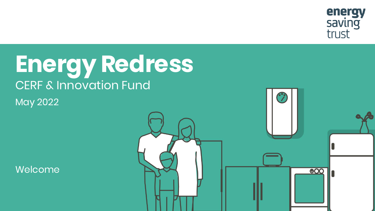

#### **Energy Redress** CERF & Innovation Fund May 2022

Welcome

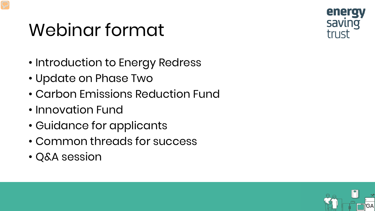#### Webinar format



- Introduction to Energy Redress
- Update on Phase Two
- Carbon Emissions Reduction Fund
- Innovation Fund
- Guidance for applicants
- Common threads for success
- Q&A session

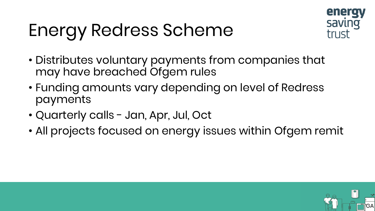#### Energy Redress Scheme



GA

- Distributes voluntary payments from companies that may have breached Ofgem rules
- Funding amounts vary depending on level of Redress payments
- Quarterly calls Jan, Apr, Jul, Oct
- All projects focused on energy issues within Ofgem remit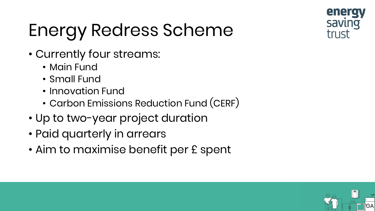

## Energy Redress Scheme

- Currently four streams:
	- Main Fund
	- Small Fund
	- Innovation Fund
	- Carbon Emissions Reduction Fund (CERF)
- Up to two-year project duration
- Paid quarterly in arrears
- Aim to maximise benefit per £ spent

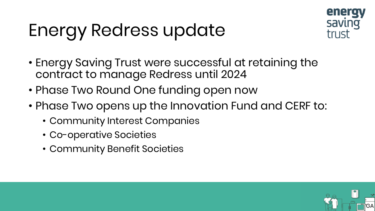#### Energy Redress update



GA

- Energy Saving Trust were successful at retaining the contract to manage Redress until 2024
- Phase Two Round One funding open now
- Phase Two opens up the Innovation Fund and CERF to:
	- Community Interest Companies
	- Co-operative Societies
	- Community Benefit Societies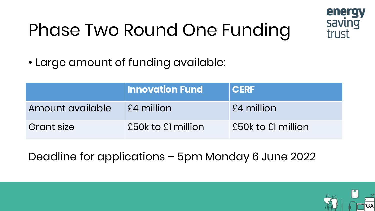#### Phase Two Round One Funding



GA

• Large amount of funding available:

|                   | <b>Innovation Fund</b> | <b>CERF</b>        |
|-------------------|------------------------|--------------------|
| Amount available  | £4 million             | £4 million         |
| <b>Grant size</b> | £50k to £1 million     | £50k to £1 million |

Deadline for applications – 5pm Monday 6 June 2022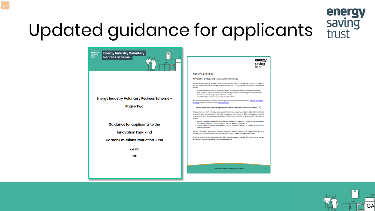# energy

# Updated guidance for applicants saving



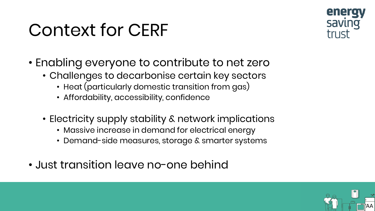#### Context for CERF



- Enabling everyone to contribute to net zero
	- Challenges to decarbonise certain key sectors
		- Heat (particularly domestic transition from gas)
		- Affordability, accessibility, confidence
	- Electricity supply stability & network implications
		- Massive increase in demand for electrical energy
		- Demand-side measures, storage & smarter systems
- Just transition leave no-one behind

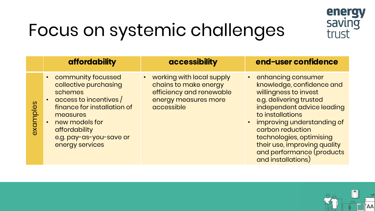

#### Focus on systemic challenges

| • working with local supply<br>• community focussed<br>• enhancing consumer                                                                                                                                                                                                                                                                                                                                                                                                                                                                                                                                         |
|---------------------------------------------------------------------------------------------------------------------------------------------------------------------------------------------------------------------------------------------------------------------------------------------------------------------------------------------------------------------------------------------------------------------------------------------------------------------------------------------------------------------------------------------------------------------------------------------------------------------|
| collective purchasing<br>knowledge, confidence and<br>chains to make energy<br>willingness to invest<br>efficiency and renewable<br>schemes<br>  access to incentives  <br>e.g. delivering trusted<br>energy measures more<br>$\bullet$<br>salquipxe<br>accessible<br>independent advice leading<br>finance for installation of<br>to installations<br>measures<br>• improving understanding of<br>new models for<br>carbon reduction<br>affordability<br>technologies, optimising<br>e.g. pay-as-you-save or<br>their use, improving quality<br>energy services<br>and performance (products<br>and installations) |

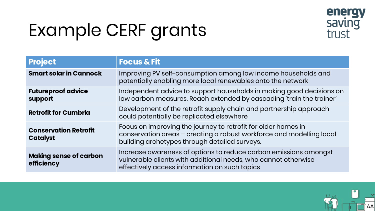#### Example CERF grants



| <b>Project</b>                                  | <b>Focus &amp; Fit</b>                                                                                                                                                                 |
|-------------------------------------------------|----------------------------------------------------------------------------------------------------------------------------------------------------------------------------------------|
| <b>Smart solar in Cannock</b>                   | Improving PV self-consumption among low income households and<br>potentially enabling more local renewables onto the network                                                           |
| <b>Futureproof advice</b><br>support            | Independent advice to support households in making good decisions on<br>low carbon measures. Reach extended by cascading 'train the trainer'                                           |
| <b>Retrofit for Cumbria</b>                     | Development of the retrofit supply chain and partnership approach<br>could potentially be replicated elsewhere                                                                         |
| <b>Conservation Retrofit</b><br><b>Catalyst</b> | Focus on improving the journey to retrofit for older homes in<br>conservation areas - creating a robust workforce and modelling local<br>building archetypes through detailed surveys. |
| <b>Making sense of carbon</b><br>efficiency     | Increase awareness of options to reduce carbon emissions amongst<br>vulnerable clients with additional needs, who cannot otherwise<br>effectively access information on such topics    |

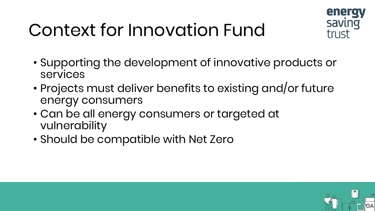#### Context for Innovation Fund



- Supporting the development of innovative products or services
- Projects must deliver benefits to existing and/or future energy consumers
- Can be all energy consumers or targeted at vulnerability
- Should be compatible with Net Zero

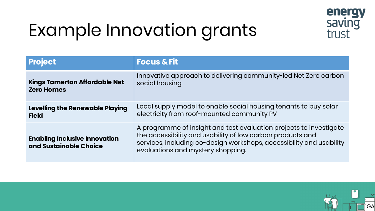

#### Example Innovation grants

| <b>Project</b>                                                 | <b>Focus &amp; Fit</b>                                                                                                                                                                                                                        |
|----------------------------------------------------------------|-----------------------------------------------------------------------------------------------------------------------------------------------------------------------------------------------------------------------------------------------|
| <b>Kings Tamerton Affordable Net</b>                           | Innovative approach to delivering community-led Net Zero carbon                                                                                                                                                                               |
| <b>Zero Homes</b>                                              | social housing                                                                                                                                                                                                                                |
| Levelling the Renewable Playing                                | Local supply model to enable social housing tenants to buy solar                                                                                                                                                                              |
| <b>Field</b>                                                   | electricity from roof-mounted community PV                                                                                                                                                                                                    |
| <b>Enabling Inclusive Innovation</b><br>and Sustainable Choice | A programme of insight and test evaluation projects to investigate<br>the accessibility and usability of low carbon products and<br>services, including co-design workshops, accessibility and usability<br>evaluations and mystery shopping. |

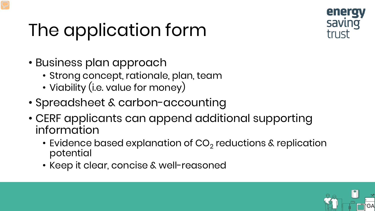#### The application form



GA

- Business plan approach
	- Strong concept, rationale, plan, team
	- Viability (i.e. value for money)
- Spreadsheet & carbon-accounting
- CERF applicants can append additional supporting information
	- Evidence based explanation of  $CO<sub>2</sub>$  reductions & replication potential
	- Keep it clear, concise & well-reasoned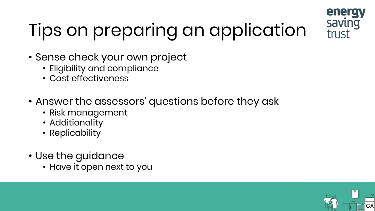

## Tips on preparing an application

- Sense check your own project
	- Eligibility and compliance
	- Cost effectiveness
- Answer the assessors' questions before they ask
	- Risk management
	- Additionality
	- Replicability
- Use the guidance
	- Have it open next to you

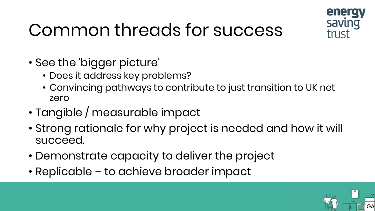

GA

#### Common threads for success

- See the 'bigger picture'
	- Does it address key problems?
	- Convincing pathways to contribute to just transition to UK net zero
- Tangible / measurable impact
- Strong rationale for why project is needed and how it will succeed.
- Demonstrate capacity to deliver the project
- Replicable to achieve broader impact